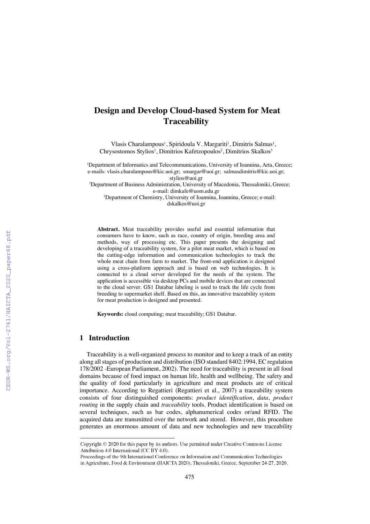# **Design and Develop Cloud-based System for Meat Traceability**

Vlasis Charalampous<sup>1</sup>, Spiridoula V. Margariti<sup>1</sup>, Dimitris Salmas<sup>1</sup>, Chrysostomos Stylios<sup>1</sup>, Dimitrios Kafetzopoulos<sup>2</sup>, Dimitrios Skalkos<sup>3</sup>

<sup>1</sup>Department of Informatics and Telecommunications, University of Ioannina, Arta, Greece; e-mails: vlasis.charalampous@kic.uoi.gr; smargar@uoi.gr; salmasdimitris@kic.uoi.gr; stylios@uoi.gr

<sup>2</sup>Department of Business Administration, University of Macedonia, Thessaloniki, Greece; e-mail: dimkafe@uom.edu.gr

3 Department of Chemistry, University of Ioannina, Ioannina, Greece; e-mail: dskalkos@uoi.gr

**Abstract.** Meat traceability provides useful and essential information that consumers have to know, such as race, country of origin, breeding area and methods, way of processing etc. This paper presents the designing and developing of a traceability system, for a pilot meat market, which is based on the cutting-edge information and communication technologies to track the whole meat chain from farm to market. The front-end application is designed using a cross-platform approach and is based on web technologies. It is connected to a cloud server developed for the needs of the system. The application is accessible via desktop PCs and mobile devices that are connected to the cloud server. GS1 Databar labeling is used to track the life cycle from breeding to supermarket shelf. Based on this, an innovative traceability system for meat production is designed and presented.

**Keywords:** cloud computing; meat traceability; GS1 Databar.

# **1 Introduction**

Traceability is a well-organized process to monitor and to keep a track of an entity along all stages of production and distribution (ISO standard 8402:1994, EC regulation 178/2002 -European Parliament, 2002). The need for traceability is present in all food domains because of food impact on human life, health and wellbeing. The safety and the quality of food particularly in agriculture and meat products are of critical importance. According to Regattieri (Regattieri et al., 2007) a traceability system consists of four distinguished components: *product identification*, *data*, *product routing* in the supply chain and *traceability* tools. Product identification is based on several techniques, such as bar codes, alphanumerical codes or/and RFID. The acquired data are transmitted over the network and stored. However, this procedure generates an enormous amount of data and new technologies and new traceability

Copyright  $\odot$  2020 for this paper by its authors. Use permitted under Creative Commons License Attribution 4.0 International (CC BY 4.0).

Proceedings of the 9th International Conference on Information and Communication Technologies in Agriculture, Food & Environment (HAICTA 2020), Thessaloniki, Greece, September 24-27, 2020.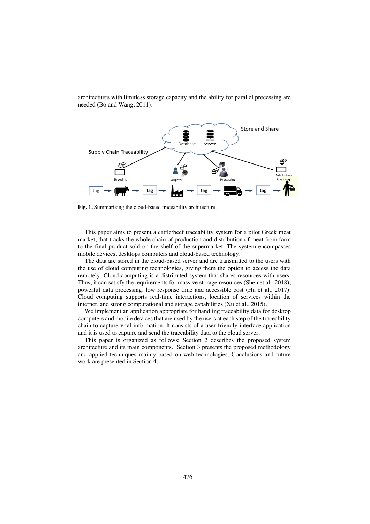

architectures with limitless storage capacity and the ability for parallel processing are needed (Bo and Wang, 2011).

**Fig. 1.** Summarizing the cloud-based traceability architecture.

This paper aims to present a cattle/beef traceability system for a pilot Greek meat market, that tracks the whole chain of production and distribution of meat from farm to the final product sold on the shelf of the supermarket. The system encompasses mobile devices, desktops computers and cloud-based technology.

The data are stored in the cloud-based server and are transmitted to the users with the use of cloud computing technologies, giving them the option to access the data remotely. Cloud computing is a distributed system that shares resources with users. Thus, it can satisfy the requirements for massive storage resources (Shen et al., 2018), powerful data processing, low response time and accessible cost (Hu et al., 2017). Cloud computing supports real-time interactions, location of services within the internet, and strong computational and storage capabilities (Xu et al., 2015).

We implement an application appropriate for handling traceability data for desktop computers and mobile devices that are used by the users at each step of the traceability chain to capture vital information. It consists of a user-friendly interface application and it is used to capture and send the traceability data to the cloud server.

This paper is organized as follows: Section 2 describes the proposed system architecture and its main components. Section 3 presents the proposed methodology and applied techniques mainly based on web technologies. Conclusions and future work are presented in Section 4.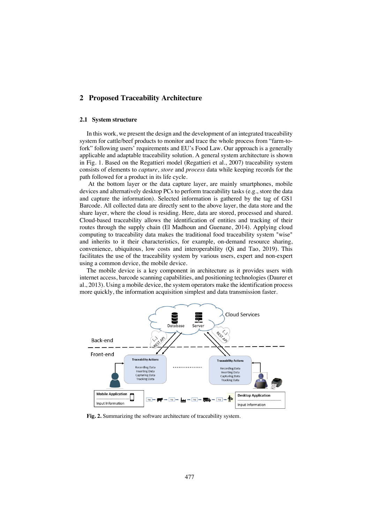# **2 Proposed Traceability Architecture**

#### **2.1 System structure**

In this work, we present the design and the development of an integrated traceability system for cattle/beef products to monitor and trace the whole process from "farm-tofork" following users' requirements and EU's Food Law. Our approach is a generally applicable and adaptable traceability solution. A general system architecture is shown in Fig. 1. Based on the Regattieri model (Regattieri et al., 2007) traceability system consists of elements to *capture*, *store* and *process* data while keeping records for the path followed for a product in its life cycle.

At the bottom layer or the data capture layer, are mainly smartphones, mobile devices and alternatively desktop PCs to perform traceability tasks (e.g., store the data and capture the information). Selected information is gathered by the tag of GS1 Barcode. All collected data are directly sent to the above layer, the data store and the share layer, where the cloud is residing. Here, data are stored, processed and shared. Cloud-based traceability allows the identification of entities and tracking of their routes through the supply chain (El Madhoun and Guenane, 2014). Applying cloud computing to traceability data makes the traditional food traceability system "wise" and inherits to it their characteristics, for example, on-demand resource sharing, convenience, ubiquitous, low costs and interoperability (Qi and Tao, 2019). This facilitates the use of the traceability system by various users, expert and non-expert using a common device, the mobile device.

The mobile device is a key component in architecture as it provides users with internet access, barcode scanning capabilities, and positioning technologies (Daurer et al., 2013). Using a mobile device, the system operators make the identification process more quickly, the information acquisition simplest and data transmission faster.



**Fig. 2.** Summarizing the software architecture of traceability system.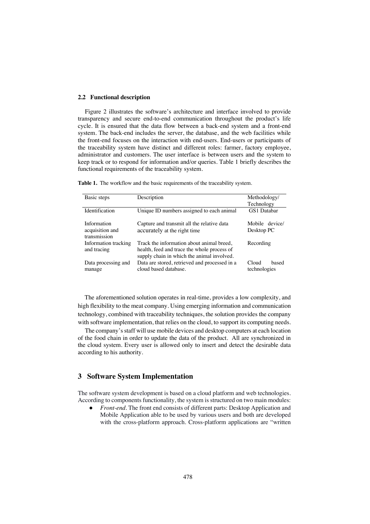#### **2.2 Functional description**

Figure 2 illustrates the software's architecture and interface involved to provide transparency and secure end-to-end communication throughout the product's life cycle. It is ensured that the data flow between a back-end system and a front-end system. The back-end includes the server, the database, and the web facilities while the front-end focuses on the interaction with end-users. End-users or participants of the traceability system have distinct and different roles: farmer, factory employee, administrator and customers. The user interface is between users and the system to keep track or to respond for information and/or queries. Table 1 briefly describes the functional requirements of the traceability system.

| Basic steps                                    | Description                                                                                                                            | Methodology/                   |  |  |
|------------------------------------------------|----------------------------------------------------------------------------------------------------------------------------------------|--------------------------------|--|--|
|                                                |                                                                                                                                        | Technology                     |  |  |
| Identification                                 | Unique ID numbers assigned to each animal                                                                                              | <b>GS1</b> Databar             |  |  |
| Information<br>acquisition and<br>transmission | Capture and transmit all the relative data<br>accurately at the right time                                                             | Mobile device/<br>Desktop PC   |  |  |
| Information tracking<br>and tracing            | Track the information about animal breed,<br>health, feed and trace the whole process of<br>supply chain in which the animal involved. | Recording                      |  |  |
| Data processing and<br>manage                  | Data are stored, retrieved and processed in a<br>cloud based database.                                                                 | Cloud<br>based<br>technologies |  |  |

**Table 1.** The workflow and the basic requirements of the traceability system.

The aforementioned solution operates in real-time, provides a low complexity, and high flexibility to the meat company. Using emerging information and communication technology, combined with traceability techniques, the solution provides the company with software implementation, that relies on the cloud, to support its computing needs.

The company's staff will use mobile devices and desktop computers at each location of the food chain in order to update the data of the product. All are synchronized in the cloud system. Every user is allowed only to insert and detect the desirable data according to his authority.

## **3 Software System Implementation**

The software system development is based on a cloud platform and web technologies. According to components functionality, the system is structured on two main modules:

● *Front-end*. The front end consists of different parts: Desktop Application and Mobile Application able to be used by various users and both are developed with the cross-platform approach. Cross-platform applications are "written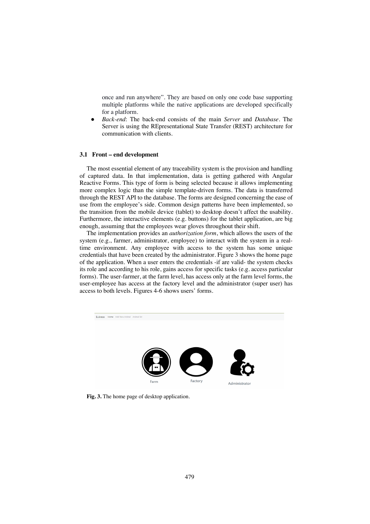once and run anywhere". They are based on only one code base supporting multiple platforms while the native applications are developed specifically for a platform.

● *Back-end*: The back-end consists of the main *Server* and *Database.* The Server is using the REpresentational State Transfer (REST) architecture for communication with clients.

### **3.1 Front – end development**

The most essential element of any traceability system is the provision and handling of captured data. In that implementation, data is getting gathered with Angular Reactive Forms. This type of form is being selected because it allows implementing more complex logic than the simple template-driven forms. The data is transferred through the REST API to the database. The forms are designed concerning the ease of use from the employee's side. Common design patterns have been implemented, so the transition from the mobile device (tablet) to desktop doesn't affect the usability. Furthermore, the interactive elements (e.g. buttons) for the tablet application, are big enough, assuming that the employees wear gloves throughout their shift.

The implementation provides an *authorization form*, which allows the users of the system (e.g., farmer, administrator, employee) to interact with the system in a realtime environment. Any employee with access to the system has some unique credentials that have been created by the administrator. Figure 3 shows the home page of the application. When a user enters the credentials -if are valid- the system checks its role and according to his role, gains access for specific tasks (e.g. access particular forms). The user-farmer, at the farm level, has access only at the farm level forms, the user-employee has access at the factory level and the administrator (super user) has access to both levels. Figures 4-6 shows users' forms.



**Fig. 3.** The home page of desktop application.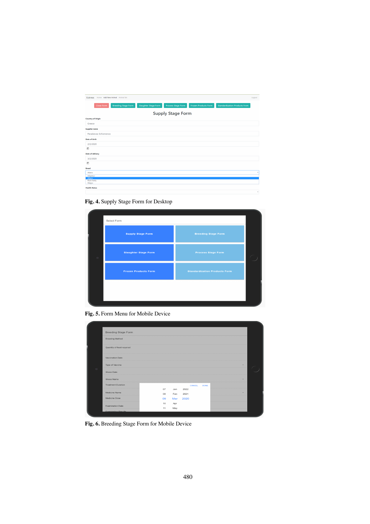| Eukreas<br>Home Add New Animal Animal list |                             |                           |                             |                                      | Logout |
|--------------------------------------------|-----------------------------|---------------------------|-----------------------------|--------------------------------------|--------|
| Close Form<br><b>Breeding Stage Form</b>   | <b>Slaughter Stage Form</b> | <b>Process Stage Form</b> | <b>Frozen Products Form</b> | <b>Standardization Products From</b> |        |
| <b>Supply Stage Form</b>                   |                             |                           |                             |                                      |        |
| <b>Country of Origin</b>                   |                             |                           |                             |                                      |        |
| Greece                                     |                             |                           |                             |                                      |        |
| <b>Supplier name</b>                       |                             |                           |                             |                                      |        |
| Paraskevas Schismenos                      |                             |                           |                             |                                      |        |
| Date of birth                              |                             |                           |                             |                                      |        |
| 2/2/2020                                   |                             |                           |                             |                                      |        |
| 固                                          |                             |                           |                             |                                      |        |
| <b>Date of delivery</b>                    |                             |                           |                             |                                      |        |
| 3/2/2020                                   |                             |                           |                             |                                      |        |
| 固                                          |                             |                           |                             |                                      |        |
| <b>Breed</b>                               |                             |                           |                             |                                      |        |
| Albera                                     |                             |                           |                             |                                      |        |
| Adaptaur                                   |                             |                           |                             |                                      |        |
| Albera<br><b>Black Baldy</b>               |                             |                           |                             |                                      |        |
| Wagyu                                      |                             |                           |                             |                                      |        |
| <b>Health Status</b>                       |                             |                           |                             |                                      |        |
|                                            |                             |                           |                             |                                      |        |

**Fig. 4.** Supply Stage Form for Desktop

|            | Select Form                 |                                      |  |
|------------|-----------------------------|--------------------------------------|--|
|            | <b>Supply Stage Form</b>    | <b>Breeding Stage Form</b>           |  |
| $_{\odot}$ | <b>Slaughter Stage Form</b> | <b>Process Stage Form</b>            |  |
|            | <b>Frozen Products Form</b> | <b>Standardization Products Form</b> |  |
|            |                             |                                      |  |
|            |                             |                                      |  |

**Fig. 5.** Form Menu for Mobile Device

|         | <b>Breeding Stage Form</b> |    |     |        |             |                          |  |
|---------|----------------------------|----|-----|--------|-------------|--------------------------|--|
|         | <b>Breeding Method</b>     |    |     |        |             |                          |  |
|         | Quantity of feed required  |    |     |        |             |                          |  |
|         | Vaccination Date           |    |     |        |             |                          |  |
|         | Type of Vaccine            |    |     |        |             | $\overline{\phantom{a}}$ |  |
| $\circ$ | Illness Date               |    |     |        |             |                          |  |
|         | Illness Name               |    |     |        |             |                          |  |
|         | <b>Treatment Duration</b>  |    |     | CANCEL | <b>DONE</b> |                          |  |
|         | Medicine Name              | 07 | Jan | 2022   |             | -                        |  |
|         |                            | 08 | Feb | 2021   |             |                          |  |
|         | Medicine Dose              | 09 | Mar | 2020   |             |                          |  |
|         | <b>Examination Date</b>    | 10 | Apr |        |             |                          |  |
|         | Evemination Peculte        | 11 | May |        |             |                          |  |

**Fig. 6.** Breeding Stage Form for Mobile Device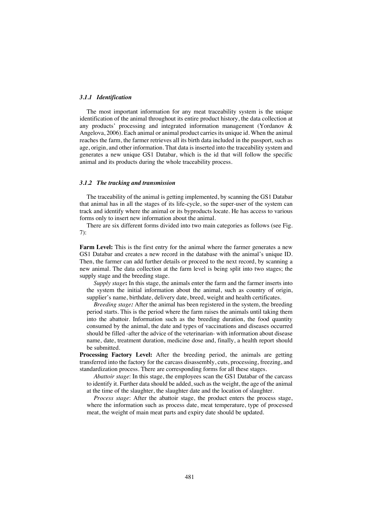#### *3.1.1 Identification*

The most important information for any meat traceability system is the unique identification of the animal throughout its entire product history, the data collection at any products' processing and integrated information management (Yordanov & Angelova, 2006). Each animal or animal product carries its unique id. When the animal reaches the farm, the farmer retrieves all its birth data included in the passport, such as age, origin, and other information. That data is inserted into the traceability system and generates a new unique GS1 Databar, which is the id that will follow the specific animal and its products during the whole traceability process.

#### *3.1.2 The tracking and transmission*

The traceability of the animal is getting implemented, by scanning the GS1 Databar that animal has in all the stages of its life-cycle, so the super-user of the system can track and identify where the animal or its byproducts locate. He has access to various forms only to insert new information about the animal.

There are six different forms divided into two main categories as follows (see Fig. 7):

**Farm Level:** This is the first entry for the animal where the farmer generates a new GS1 Databar and creates a new record in the database with the animal's unique ID. Then, the farmer can add further details or proceed to the next record, by scanning a new animal. The data collection at the farm level is being split into two stages; the supply stage and the breeding stage.

*Supply stage***:** In this stage, the animals enter the farm and the farmer inserts into the system the initial information about the animal, such as country of origin, supplier's name, birthdate, delivery date, breed, weight and health certificates.

*Breeding stage:* After the animal has been registered in the system, the breeding period starts. This is the period where the farm raises the animals until taking them into the abattoir. Information such as the breeding duration, the food quantity consumed by the animal, the date and types of vaccinations and diseases occurred should be filled -after the advice of the veterinarian- with information about disease name, date, treatment duration, medicine dose and, finally, a health report should be submitted.

**Processing Factory Level:** After the breeding period, the animals are getting transferred into the factory for the carcass disassembly, cuts, processing, freezing, and standardization process. There are corresponding forms for all these stages.

*Abattoir stage*: In this stage, the employees scan the GS1 Databar of the carcass to identify it. Further data should be added, such as the weight, the age of the animal at the time of the slaughter, the slaughter date and the location of slaughter.

*Process stage*: After the abattoir stage, the product enters the process stage, where the information such as process date, meat temperature, type of processed meat, the weight of main meat parts and expiry date should be updated.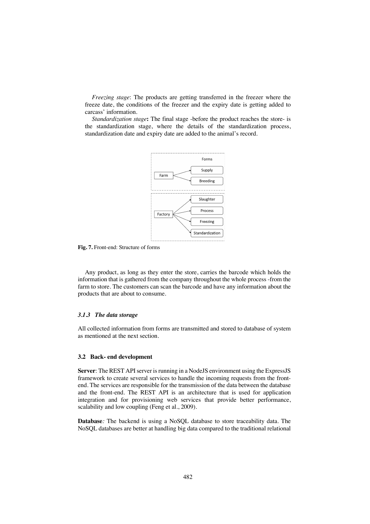*Freezing stage*: The products are getting transferred in the freezer where the freeze date, the conditions of the freezer and the expiry date is getting added to carcass' information.

*Standardization stage***:** The final stage -before the product reaches the store- is the standardization stage, where the details of the standardization process, standardization date and expiry date are added to the animal's record.



**Fig. 7.** Front-end: Structure of forms

Any product, as long as they enter the store, carries the barcode which holds the information that is gathered from the company throughout the whole process -from the farm to store. The customers can scan the barcode and have any information about the products that are about to consume.

#### *3.1.3 The data storage*

All collected information from forms are transmitted and stored to database of system as mentioned at the next section.

#### **3.2 Back- end development**

**Server**: The REST API server is running in a NodeJS environment using the ExpressJS framework to create several services to handle the incoming requests from the frontend. The services are responsible for the transmission of the data between the database and the front-end. The REST API is an architecture that is used for application integration and for provisioning web services that provide better performance, scalability and low coupling (Feng et al., 2009).

**Database***:* The backend is using a NoSQL database to store traceability data. The NoSQL databases are better at handling big data compared to the traditional relational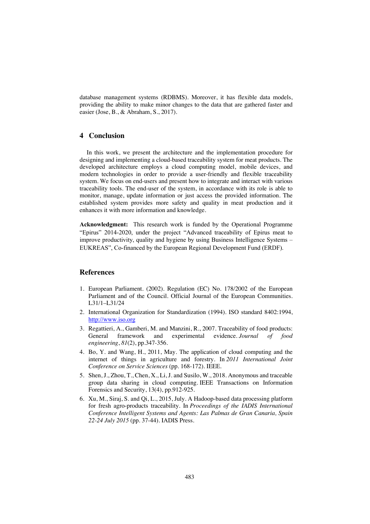database management systems (RDBMS). Moreover, it has flexible data models, providing the ability to make minor changes to the data that are gathered faster and easier (Jose, B., & Abraham, S., 2017).

# **4 Conclusion**

In this work, we present the architecture and the implementation procedure for designing and implementing a cloud-based traceability system for meat products. The developed architecture employs a cloud computing model, mobile devices, and modern technologies in order to provide a user-friendly and flexible traceability system. We focus on end-users and present how to integrate and interact with various traceability tools. The end-user of the system, in accordance with its role is able to monitor, manage, update information or just access the provided information. The established system provides more safety and quality in meat production and it enhances it with more information and knowledge.

**Acknowledgment:** This research work is funded by the Operational Programme "Epirus" 2014-2020, under the project "Advanced traceability of Epirus meat to improve productivity, quality and hygiene by using Business Intelligence Systems – EUKREAS", Co-financed by the European Regional Development Fund (ERDF).

# **References**

- 1. European Parliament. (2002). Regulation (EC) No. 178/2002 of the European Parliament and of the Council. Official Journal of the European Communities. L31/1–L31/24
- 2. International Organization for Standardization (1994). ISO standard 8402:1994, http://www.iso.org
- 3. Regattieri, A., Gamberi, M. and Manzini, R., 2007. Traceability of food products: General framework and experimental evidence. *Journal of food engineering*, *81*(2), pp.347-356.
- 4. Bo, Y. and Wang, H., 2011, May. The application of cloud computing and the internet of things in agriculture and forestry. In *2011 International Joint Conference on Service Sciences* (pp. 168-172). IEEE.
- 5. Shen, J., Zhou, T., Chen, X., Li, J. and Susilo, W., 2018. Anonymous and traceable group data sharing in cloud computing. IEEE Transactions on Information Forensics and Security, 13(4), pp.912-925.
- 6. Xu, M., Siraj, S. and Qi, L., 2015, July. A Hadoop-based data processing platform for fresh agro-products traceability. In *Proceedings of the IADIS International Conference Intelligent Systems and Agents: Las Palmas de Gran Canaria, Spain 22-24 July 2015* (pp. 37-44). IADIS Press.